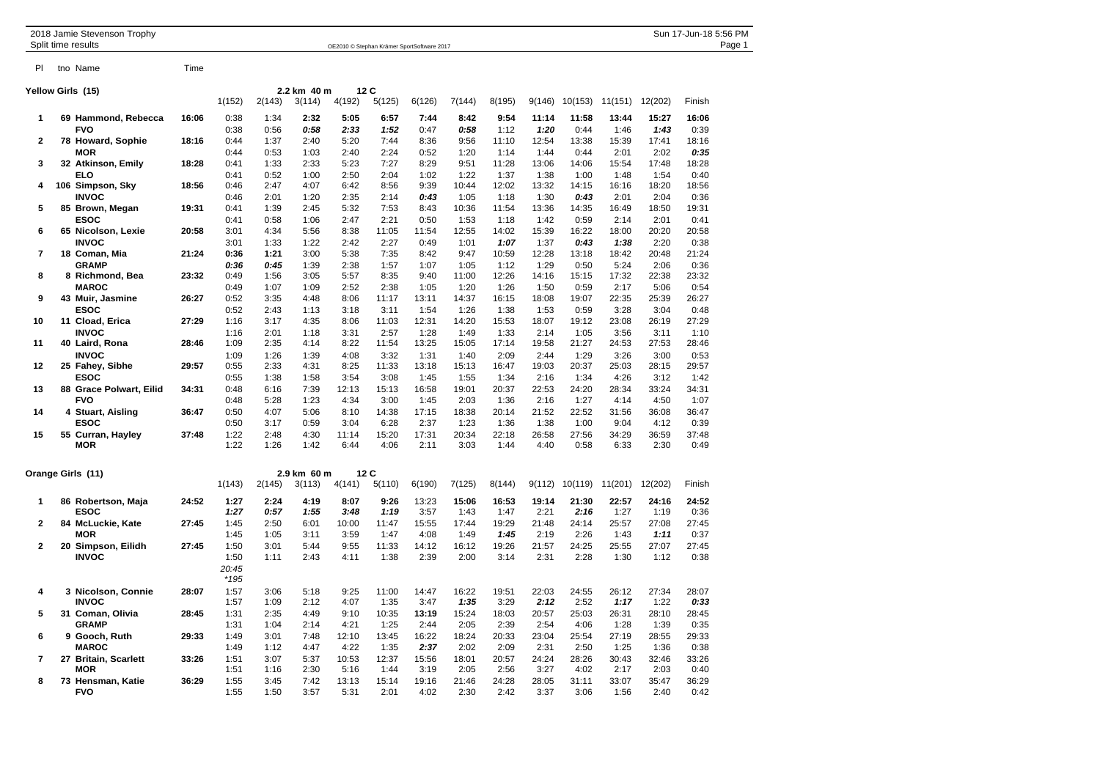|                |    | 2018 Jamie Stevenson Trophy<br>Split time results |       |               |              |              | OE2010 © Stephan Krämer SportSoftware 2017 |               |               |               |               |               |               |               |               | Sun 17-Jun-18 5:56 PM<br>Page 1 |
|----------------|----|---------------------------------------------------|-------|---------------|--------------|--------------|--------------------------------------------|---------------|---------------|---------------|---------------|---------------|---------------|---------------|---------------|---------------------------------|
|                |    |                                                   |       |               |              |              |                                            |               |               |               |               |               |               |               |               |                                 |
| PI             |    | tno Name                                          | Time  |               |              |              |                                            |               |               |               |               |               |               |               |               |                                 |
|                |    | Yellow Girls (15)                                 |       |               |              | 2.2 km 40 m  | 12C                                        |               |               |               |               |               |               |               |               |                                 |
|                |    |                                                   |       | 1(152)        | 2(143)       | 3(114)       | 4(192)                                     | 5(125)        | 6(126)        | 7(144)        | 8(195)        | 9(146)        | 10(153)       | 11(151)       | 12(202)       | Finish                          |
| 1              |    | 69 Hammond, Rebecca                               | 16:06 | 0:38          | 1:34         | 2:32         | 5:05                                       | 6:57          | 7:44          | 8:42          | 9:54          | 11:14         | 11:58         | 13:44         | 15:27         | 16:06                           |
|                |    | <b>FVO</b>                                        |       | 0:38          | 0:56         | 0:58         | 2:33                                       | 1:52          | 0:47          | 0:58          | 1:12          | 1:20          | 0:44          | 1:46          | 1:43          | 0:39                            |
| 2              |    | 78 Howard, Sophie                                 | 18:16 | 0:44          | 1:37         | 2:40         | 5:20                                       | 7:44          | 8:36          | 9:56          | 11:10         | 12:54         | 13:38         | 15:39         | 17:41         | 18:16                           |
|                |    | <b>MOR</b>                                        |       | 0:44          | 0:53         | 1:03         | 2:40                                       | 2:24          | 0:52          | 1:20          | 1:14          | 1:44          | 0:44          | 2:01          | 2:02          | 0:35                            |
| 3              |    | 32 Atkinson, Emily                                | 18:28 | 0:41          | 1:33         | 2:33         | 5:23                                       | 7:27          | 8:29          | 9:51          | 11:28         | 13:06         | 14:06         | 15:54         | 17:48         | 18:28                           |
|                |    | ELO                                               |       | 0:41          | 0:52         | 1:00         | 2:50                                       | 2:04          | 1:02          | 1:22          | 1:37          | 1:38          | 1:00          | 1:48          | 1:54          | 0:40                            |
| 4              |    | 106 Simpson, Sky                                  | 18:56 | 0:46          | 2:47         | 4:07         | 6:42                                       | 8:56          | 9:39          | 10:44         | 12:02         | 13:32         | 14:15         | 16:16         | 18:20         | 18:56                           |
|                |    | <b>INVOC</b>                                      |       | 0:46          | 2:01         | 1:20         | 2:35                                       | 2:14          | 0:43          | 1:05          | 1:18          | 1:30          | 0:43          | 2:01          | 2:04          | 0:36                            |
| 5              |    | 85 Brown, Megan                                   | 19:31 | 0:41          | 1:39         | 2:45         | 5:32                                       | 7:53          | 8:43          | 10:36         | 11:54         | 13:36         | 14:35         | 16:49         | 18:50         | 19:31                           |
|                |    | <b>ESOC</b>                                       |       | 0:41          | 0:58         | 1:06         | 2:47                                       | 2:21          | 0:50          | 1:53          | 1:18          | 1:42          | 0:59          | 2:14          | 2:01          | 0:41                            |
| 6              |    | 65 Nicolson, Lexie                                | 20:58 | 3:01          | 4:34         | 5:56         | 8:38                                       | 11:05         | 11:54         | 12:55         | 14:02         | 15:39         | 16:22         | 18:00         | 20:20         | 20:58                           |
|                |    | <b>INVOC</b>                                      |       | 3:01          | 1:33         | 1:22         | 2:42                                       | 2:27          | 0:49          | 1:01          | 1:07          | 1:37          | 0:43          | 1:38          | 2:20          | 0:38                            |
| $\overline{7}$ |    | 18 Coman, Mia                                     | 21:24 | 0:36          | 1:21         | 3:00         | 5:38                                       | 7:35          | 8:42          | 9:47          | 10:59         | 12:28         | 13:18         | 18:42         | 20:48         | 21:24                           |
|                |    | <b>GRAMP</b>                                      |       | 0:36          | 0:45         | 1:39         | 2:38                                       | 1:57          | 1:07          | 1:05          | 1:12          | 1:29          | 0:50          | 5:24          | 2:06          | 0:36                            |
| 8              |    | 8 Richmond, Bea                                   | 23:32 | 0:49          | 1:56         | 3:05         | 5:57                                       | 8:35          | 9:40          | 11:00         | 12:26         | 14:16         | 15:15         | 17:32         | 22:38         | 23:32                           |
|                |    | <b>MAROC</b>                                      |       | 0:49          | 1:07         | 1:09         | 2:52                                       | 2:38          | 1:05          | 1:20          | 1:26          | 1:50          | 0:59          | 2:17          | 5:06          | 0:54                            |
| 9              |    | 43 Muir, Jasmine                                  | 26:27 | 0:52          | 3:35         | 4:48         | 8:06                                       | 11:17         | 13:11         | 14:37         | 16:15         | 18:08         | 19:07         | 22:35         | 25:39         | 26:27                           |
|                |    | <b>ESOC</b>                                       |       | 0:52          | 2:43         | 1:13         | 3:18                                       | 3:11          | 1:54          | 1:26          | 1:38          | 1:53          | 0:59          | 3:28          | 3:04          | 0:48                            |
| 10             |    | 11 Cload, Erica                                   | 27:29 | 1:16          | 3:17         | 4:35         | 8:06                                       | 11:03         | 12:31         | 14:20         | 15:53         | 18:07         | 19:12         | 23:08         | 26:19         | 27:29                           |
| 11             |    | <b>INVOC</b><br>40 Laird, Rona                    | 28:46 | 1:16<br>1:09  | 2:01<br>2:35 | 1:18<br>4:14 | 3:31<br>8:22                               | 2:57<br>11:54 | 1:28<br>13:25 | 1:49<br>15:05 | 1:33<br>17:14 | 2:14<br>19:58 | 1:05<br>21:27 | 3:56<br>24:53 | 3:11<br>27:53 | 1:10<br>28:46                   |
|                |    | <b>INVOC</b>                                      |       | 1:09          | 1:26         | 1:39         | 4:08                                       | 3:32          | 1:31          | 1:40          | 2:09          | 2:44          | 1:29          | 3:26          | 3:00          | 0:53                            |
| 12             |    | 25 Fahey, Sibhe                                   | 29:57 | 0:55          | 2:33         | 4:31         | 8:25                                       | 11:33         | 13:18         | 15:13         | 16:47         | 19:03         | 20:37         | 25:03         | 28:15         | 29:57                           |
|                |    | <b>ESOC</b>                                       |       | 0:55          | 1:38         | 1:58         | 3:54                                       | 3:08          | 1:45          | 1:55          | 1:34          | 2:16          | 1:34          | 4:26          | 3:12          | 1:42                            |
| 13             |    | 88 Grace Polwart, Eilid                           | 34:31 | 0:48          | 6:16         | 7:39         | 12:13                                      | 15:13         | 16:58         | 19:01         | 20:37         | 22:53         | 24:20         | 28:34         | 33:24         | 34:31                           |
|                |    | <b>FVO</b>                                        |       | 0:48          | 5:28         | 1:23         | 4:34                                       | 3:00          | 1:45          | 2:03          | 1:36          | 2:16          | 1:27          | 4:14          | 4:50          | 1:07                            |
| 14             |    | 4 Stuart, Aisling                                 | 36:47 | 0:50          | 4:07         | 5:06         | 8:10                                       | 14:38         | 17:15         | 18:38         | 20:14         | 21:52         | 22:52         | 31:56         | 36:08         | 36:47                           |
|                |    | <b>ESOC</b>                                       |       | 0:50          | 3:17         | 0:59         | 3:04                                       | 6:28          | 2:37          | 1:23          | 1:36          | 1:38          | 1:00          | 9:04          | 4:12          | 0:39                            |
| 15             |    | 55 Curran, Hayley                                 | 37:48 | 1:22          | 2:48         | 4:30         | 11:14                                      | 15:20         | 17:31         | 20:34         | 22:18         | 26:58         | 27:56         | 34:29         | 36:59         | 37:48                           |
|                |    | <b>MOR</b>                                        |       | 1:22          | 1:26         | 1:42         | 6:44                                       | 4:06          | 2:11          | 3:03          | 1:44          | 4:40          | 0:58          | 6:33          | 2:30          | 0:49                            |
|                |    | Orange Girls (11)                                 |       |               |              | 2.9 km 60 m  | 12C                                        |               |               |               |               |               |               |               |               |                                 |
|                |    |                                                   |       | 1(143)        | 2(145)       | 3(113)       | 4(141)                                     | 5(110)        | 6(190)        | 7(125)        | 8(144)        | 9(112)        | 10(119)       | 11(201)       | 12(202)       | Finish                          |
| 1              |    | 86 Robertson, Maja                                | 24:52 | 1:27          | 2:24         | 4:19         | 8:07                                       | 9:26          | 13:23         | 15:06         | 16:53         | 19:14         | 21:30         | 22:57         | 24:16         | 24:52                           |
|                |    | <b>ESOC</b>                                       |       | 1:27          | 0:57         | 1:55         | 3:48                                       | 1:19          | 3:57          | 1:43          | 1:47          | 2:21          | 2:16          | 1:27          | 1:19          | 0:36                            |
| $\mathbf{2}$   |    | 84 McLuckie, Kate                                 | 27:45 | 1:45          | 2:50         | 6:01         | 10:00                                      | 11:47         | 15:55         | 17:44         | 19:29         | 21:48         | 24:14         | 25:57         | 27:08         | 27:45                           |
|                |    | <b>MOR</b>                                        |       | 1:45          | 1:05         | 3:11         | 3:59                                       | 1:47          | 4:08          | 1:49          | 1:45          | 2:19          | 2:26          | 1:43          | 1:11          | 0:37                            |
| $\mathbf{2}$   | 20 | Simpson, Eilidh                                   | 27:45 | 1:50          | 3:01         | 5:44         | 9:55                                       | 11:33         | 14:12         | 16:12         | 19:26         | 21:57         | 24:25         | 25:55         | 27:07         | 27:45                           |
|                |    | <b>INVOC</b>                                      |       | 1:50          | 1:11         | 2:43         | 4:11                                       | 1:38          | 2:39          | 2:00          | 3:14          | 2:31          | 2:28          | 1:30          | 1:12          | 0:38                            |
|                |    |                                                   |       | 20:45<br>*195 |              |              |                                            |               |               |               |               |               |               |               |               |                                 |
| 4              |    | 3 Nicolson, Connie                                | 28:07 | 1:57          | 3:06         | 5:18         | 9:25                                       | 11:00         | 14:47         | 16:22         | 19:51         | 22:03         | 24:55         | 26:12         | 27:34         | 28:07                           |
|                |    | <b>INVOC</b>                                      |       | 1:57          | 1:09         | 2:12         | 4:07                                       | 1:35          | 3:47          | 1:35          | 3:29          | 2:12          | 2:52          | 1:17          | 1:22          | 0:33                            |
| 5              |    | 31 Coman, Olivia                                  | 28:45 | 1:31          | 2:35         | 4:49         | 9:10                                       | 10:35         | 13:19         | 15:24         | 18:03         | 20:57         | 25:03         | 26:31         | 28:10         | 28:45                           |
|                |    | <b>GRAMP</b>                                      |       | 1:31          | 1:04         | 2:14         | 4:21                                       | 1:25          | 2:44          | 2:05          | 2:39          | 2:54          | 4:06          | 1:28          | 1:39          | 0:35                            |
| 6              |    | 9 Gooch, Ruth                                     | 29:33 | 1:49          | 3:01         | 7:48         | 12:10                                      | 13:45         | 16:22         | 18:24         | 20:33         | 23:04         | 25:54         | 27:19         | 28:55         | 29:33                           |
|                |    | <b>MAROC</b>                                      |       | 1:49          | 1:12         | 4:47         | 4:22                                       | 1:35          | 2:37          | 2:02          | 2:09          | 2:31          | 2:50          | 1:25          | 1:36          | 0:38                            |
| $\overline{7}$ |    | 27 Britain, Scarlett                              | 33:26 | 1:51          | 3:07         | 5:37         | 10:53                                      | 12:37         | 15:56         | 18:01         | 20:57         | 24:24         | 28:26         | 30:43         | 32:46         | 33:26                           |
|                |    | <b>MOR</b>                                        |       | 1:51          | 1:16         | 2:30         | 5:16                                       | 1:44          | 3:19          | 2:05          | 2:56          | 3:27          | 4:02          | 2:17          | 2:03          | 0:40                            |
| 8              |    | 73 Hensman, Katie                                 | 36:29 | 1:55          | 3:45         | 7:42         | 13:13                                      | 15:14         | 19:16         | 21:46         | 24:28         | 28:05         | 31:11         | 33:07         | 35:47         | 36:29                           |
|                |    | <b>FVO</b>                                        |       | 1:55          | 1:50         | 3:57         | 5:31                                       | 2:01          | 4:02          | 2:30          | 2:42          | 3:37          | 3:06          | 1:56          | 2:40          | 0:42                            |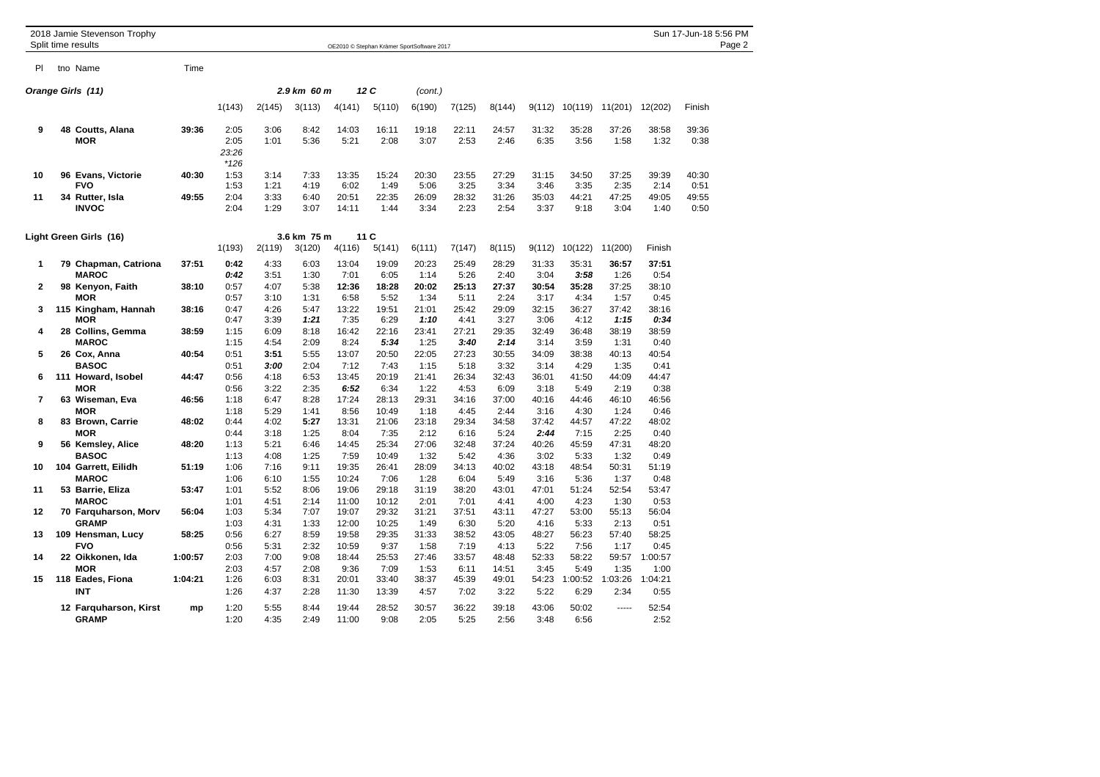|                | 2018 Jamie Stevenson Trophy<br>Split time results |         |                                 |              |              |                        |                        | OE2010 © Stephan Krämer SportSoftware 2017 |                       |                        |               |                 |                 |                 | Sun 17-Jun-18 5:56 PM | Page 2 |
|----------------|---------------------------------------------------|---------|---------------------------------|--------------|--------------|------------------------|------------------------|--------------------------------------------|-----------------------|------------------------|---------------|-----------------|-----------------|-----------------|-----------------------|--------|
|                |                                                   |         |                                 |              |              |                        |                        |                                            |                       |                        |               |                 |                 |                 |                       |        |
| <b>PI</b>      | tno Name                                          | Time    |                                 |              |              |                        |                        |                                            |                       |                        |               |                 |                 |                 |                       |        |
|                | Orange Girls (11)                                 |         |                                 |              | 2.9 km 60 m  |                        | 12 C                   | (cont.)                                    |                       |                        |               |                 |                 |                 |                       |        |
|                |                                                   |         | 1(143)                          | 2(145)       | 3(113)       | 4(141)                 | 5(110)                 | 6(190)                                     | 7(125)                | 8(144)                 | 9(112)        | 10(119)         | 11(201)         | 12(202)         | Finish                |        |
| 9              | 48 Coutts, Alana<br><b>MOR</b>                    | 39:36   | 2:05<br>2:05<br>23:26<br>$*126$ | 3:06<br>1:01 | 8:42<br>5:36 | 14:03<br>5:21          | 16:11<br>2:08          | 19:18<br>3:07                              | 22:11<br>2:53         | 24:57<br>2:46          | 31:32<br>6:35 | 35:28<br>3:56   | 37:26<br>1:58   | 38:58<br>1:32   | 39:36<br>0:38         |        |
| 10             | 96 Evans, Victorie<br><b>FVO</b>                  | 40:30   | 1:53<br>1:53                    | 3:14<br>1:21 | 7:33<br>4:19 | 13:35<br>6:02          | 15:24<br>1:49          | 20:30<br>5:06                              | 23:55<br>3:25         | 27:29<br>3:34          | 31:15<br>3:46 | 34:50<br>3:35   | 37:25<br>2:35   | 39:39<br>2:14   | 40:30<br>0:51         |        |
| 11             | 34 Rutter, Isla<br><b>INVOC</b>                   | 49:55   | 2:04<br>2:04                    | 3:33<br>1:29 | 6:40<br>3:07 | 20:51<br>14:11         | 22:35<br>1:44          | 26:09<br>3:34                              | 28:32<br>2:23         | 31:26<br>2:54          | 35:03<br>3:37 | 44:21<br>9:18   | 47:25<br>3:04   | 49:05<br>1:40   | 49:55<br>0:50         |        |
|                | Light Green Girls (16)                            |         |                                 |              | 3.6 km 75 m  |                        | 11 C                   |                                            |                       |                        |               |                 |                 |                 |                       |        |
|                |                                                   |         | 1(193)                          | 2(119)       | 3(120)       | 4(116)                 | 5(141)                 | 6(111)                                     | 7(147)                | 8(115)                 | 9(112)        | 10(122)         | 11(200)         | Finish          |                       |        |
| 1              | 79 Chapman, Catriona<br><b>MAROC</b>              | 37:51   | 0:42<br>0:42                    | 4:33<br>3:51 | 6:03<br>1:30 | 13:04<br>7:01          | 19:09<br>6:05          | 20:23<br>1:14                              | 25:49<br>5:26         | 28:29<br>2:40          | 31:33<br>3:04 | 35:31<br>3:58   | 36:57<br>1:26   | 37:51<br>0:54   |                       |        |
| $\mathbf{2}$   | 98 Kenyon, Faith<br>MOR                           | 38:10   | 0:57<br>0:57                    | 4:07<br>3:10 | 5:38<br>1:31 | 12:36<br>6:58          | 18:28<br>5:52          | 20:02<br>1:34                              | 25:13<br>5:11         | 27:37<br>2:24          | 30:54<br>3:17 | 35:28<br>4:34   | 37:25<br>1:57   | 38:10<br>0:45   |                       |        |
| 3              | 115 Kingham, Hannah<br>MOR                        | 38:16   | 0:47<br>0:47                    | 4:26<br>3:39 | 5:47<br>1:21 | 13:22<br>7:35          | 19:51<br>6:29          | 21:01<br>1:10                              | 25:42<br>4:41         | 29:09<br>3:27          | 32:15<br>3:06 | 36:27<br>4:12   | 37:42<br>1:15   | 38:16<br>0:34   |                       |        |
| 4              | 28 Collins, Gemma<br><b>MAROC</b>                 | 38:59   | 1:15<br>1:15                    | 6:09<br>4:54 | 8:18<br>2:09 | 16:42<br>8:24          | 22:16<br>5:34          | 23:41<br>1:25                              | 27:21<br>3:40         | 29:35<br>2:14          | 32:49<br>3:14 | 36:48<br>3:59   | 38:19<br>1:31   | 38:59<br>0:40   |                       |        |
| 5              | 26 Cox, Anna<br><b>BASOC</b>                      | 40:54   | 0:51<br>0:51                    | 3:51<br>3:00 | 5:55<br>2:04 | 13:07<br>7:12          | 20:50<br>7:43          | 22:05<br>1:15                              | 27:23<br>5:18         | 30:55<br>3:32          | 34:09<br>3:14 | 38:38<br>4:29   | 40:13<br>1:35   | 40:54<br>0:41   |                       |        |
| 6              | 111 Howard, Isobel<br><b>MOR</b>                  | 44:47   | 0:56<br>0:56                    | 4:18<br>3:22 | 6:53<br>2:35 | 13:45<br>6:52          | 20:19<br>6:34          | 21:41<br>1:22                              | 26:34<br>4:53         | 32:43<br>6:09          | 36:01<br>3:18 | 41:50<br>5:49   | 44:09<br>2:19   | 44:47<br>0:38   |                       |        |
| $\overline{7}$ | 63 Wiseman, Eva<br><b>MOR</b>                     | 46:56   | 1:18<br>1:18                    | 6:47<br>5:29 | 8:28<br>1:41 | 17:24<br>8:56          | 28:13<br>10:49         | 29:31<br>1:18                              | 34:16<br>4:45         | 37:00<br>2:44          | 40:16<br>3:16 | 44:46<br>4:30   | 46:10<br>1:24   | 46:56<br>0:46   |                       |        |
| 8              | 83 Brown, Carrie<br><b>MOR</b>                    | 48:02   | 0:44<br>0:44                    | 4:02<br>3:18 | 5:27<br>1:25 | 13:31<br>8:04          | 21:06<br>7:35          | 23:18<br>2:12                              | 29:34<br>6:16         | 34:58<br>5:24          | 37:42<br>2:44 | 44:57<br>7:15   | 47:22<br>2:25   | 48:02<br>0:40   |                       |        |
| 9              | 56 Kemsley, Alice<br><b>BASOC</b>                 | 48:20   | 1:13<br>1:13                    | 5:21<br>4:08 | 6:46<br>1:25 | 14:45<br>7:59          | 25:34<br>10:49         | 27:06<br>1:32                              | 32:48<br>5:42         | 37:24<br>4:36          | 40:26<br>3:02 | 45:59<br>5:33   | 47:31<br>1:32   | 48:20<br>0:49   |                       |        |
| 10             | 104 Garrett, Eilidh<br><b>MAROC</b>               | 51:19   | 1:06<br>1:06                    | 7:16<br>6:10 | 9:11<br>1:55 | 19:35<br>10:24         | 26:41<br>7:06          | 28:09<br>1:28                              | 34:13<br>6:04         | 40:02<br>5:49          | 43:18<br>3:16 | 48:54<br>5:36   | 50:31<br>1:37   | 51:19<br>0:48   |                       |        |
| 11             | 53 Barrie, Eliza<br><b>MAROC</b>                  | 53:47   | 1:01<br>1:01                    | 5:52<br>4:51 | 8:06<br>2:14 | 19:06<br>11:00         | 29:18<br>10:12         | 31:19<br>2:01                              | 38:20<br>7:01         | 43:01<br>4:41          | 47:01<br>4:00 | 51:24<br>4:23   | 52:54<br>1:30   | 53:47<br>0:53   |                       |        |
| 12             | 70 Farquharson, Morv<br><b>GRAMP</b>              | 56:04   | 1:03<br>1:03                    | 5:34<br>4:31 | 7:07<br>1:33 | 19:07<br>12:00         | 29:32<br>10:25         | 31:21<br>1:49                              | 37:51<br>6:30         | 43:11<br>5:20          | 47:27<br>4:16 | 53:00<br>5:33   | 55:13<br>2:13   | 56:04<br>0:51   |                       |        |
| 13             | 109 Hensman, Lucy<br><b>FVO</b>                   | 58:25   | 0:56<br>0:56                    | 6:27<br>5:31 | 8:59<br>2:32 | 19:58<br>10:59         | 29:35<br>9:37          | 31:33<br>1:58                              | 38:52<br>7:19         | 43:05<br>4:13          | 48:27<br>5:22 | 56:23<br>7:56   | 57:40<br>1:17   | 58:25<br>0:45   |                       |        |
| 14             | 22 Oikkonen, Ida<br><b>MOR</b>                    | 1:00:57 | 2:03<br>2:03                    | 7:00<br>4:57 | 9:08<br>2:08 | 18:44                  | 25:53                  | 27:46                                      | 33:57                 | 48:48                  | 52:33<br>3:45 | 58:22<br>5:49   | 59:57<br>1:35   | 1:00:57<br>1:00 |                       |        |
| 15             | 118 Eades, Fiona<br><b>INT</b>                    | 1:04:21 | 1:26<br>1:26                    | 6:03<br>4:37 | 8:31<br>2:28 | 9:36<br>20:01<br>11:30 | 7:09<br>33:40<br>13:39 | 1:53<br>38:37<br>4:57                      | 6:11<br>45:39<br>7:02 | 14:51<br>49:01<br>3:22 | 54:23<br>5:22 | 1:00:52<br>6:29 | 1:03:26<br>2:34 | 1:04:21<br>0:55 |                       |        |
|                | 12 Farquharson, Kirst<br><b>GRAMP</b>             | mp      | 1:20<br>1:20                    | 5:55<br>4:35 | 8:44<br>2:49 | 19:44<br>11:00         | 28:52<br>9:08          | 30:57<br>2:05                              | 36:22<br>5:25         | 39:18<br>2:56          | 43:06<br>3:48 | 50:02<br>6:56   | -----           | 52:54<br>2:52   |                       |        |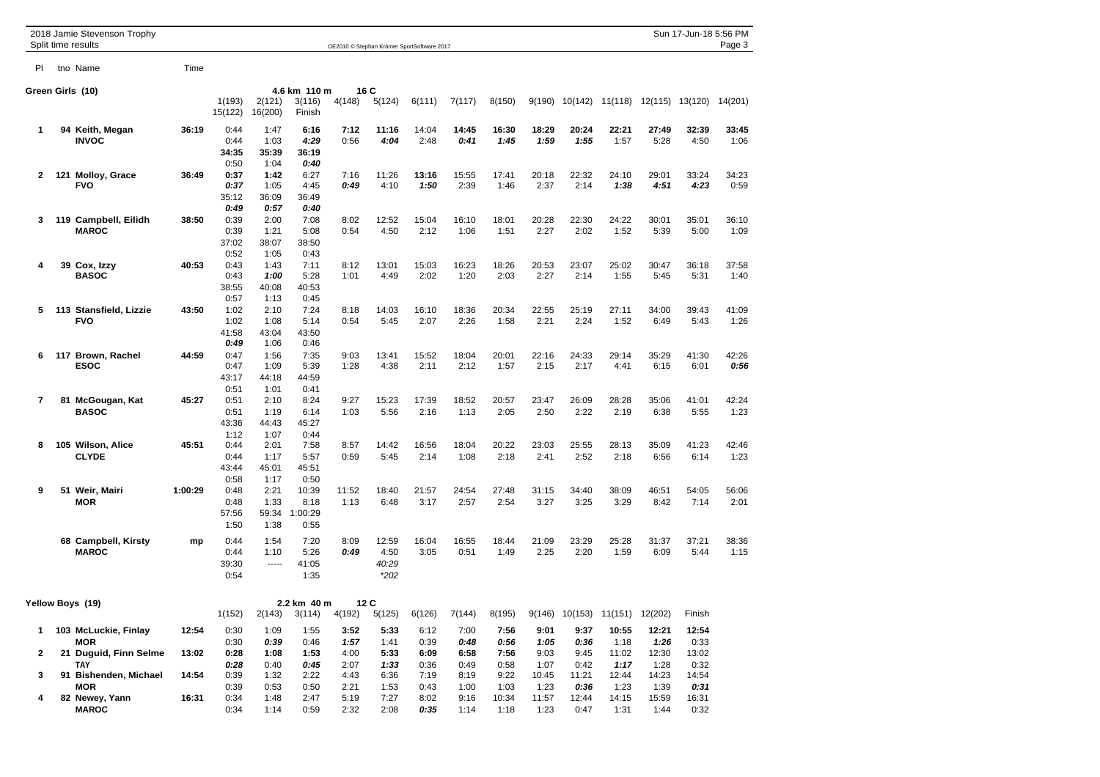|        |                | 2018 Jamie Stevenson Trophy<br>Split time results           |                | Sun 17-Jun-18 5:56 PM<br>Page 3<br>OE2010 © Stephan Krämer SportSoftware 2017 |                                       |                                          |                      |                                  |                      |                      |                       |                       |                                       |                        |                        |                         |               |
|--------|----------------|-------------------------------------------------------------|----------------|-------------------------------------------------------------------------------|---------------------------------------|------------------------------------------|----------------------|----------------------------------|----------------------|----------------------|-----------------------|-----------------------|---------------------------------------|------------------------|------------------------|-------------------------|---------------|
| PI.    |                | tno Name                                                    | Time           |                                                                               |                                       |                                          |                      |                                  |                      |                      |                       |                       |                                       |                        |                        |                         |               |
|        |                | Green Girls (10)                                            |                |                                                                               |                                       | 4.6 km 110 m                             |                      | 16 C                             |                      |                      |                       |                       |                                       |                        |                        |                         |               |
|        |                |                                                             |                | 1(193)<br>15(122)                                                             | 2(121)<br>16(200)                     | 3(116)<br>Finish                         | 4(148)               | 5(124)                           | 6(111)               | 7(117)               | 8(150)                | 9(190)                |                                       | 10(142) 11(118)        |                        | 12(115) 13(120) 14(201) |               |
| 1      |                | 94 Keith, Megan<br><b>INVOC</b>                             | 36:19          | 0:44<br>0:44                                                                  | 1:47<br>1:03                          | 6:16<br>4:29                             | 7:12<br>0:56         | 11:16<br>4:04                    | 14:04<br>2:48        | 14:45<br>0:41        | 16:30<br>1:45         | 18:29<br>1:59         | 20:24<br>1:55                         | 22:21<br>1:57          | 27:49<br>5:28          | 32:39<br>4:50           | 33:45<br>1:06 |
|        |                |                                                             |                | 34:35<br>0:50                                                                 | 35:39<br>1:04                         | 36:19<br>0:40                            |                      |                                  |                      |                      |                       |                       |                                       |                        |                        |                         |               |
| 2      | 121            | <b>Molloy, Grace</b><br><b>FVO</b>                          | 36:49          | 0:37<br>0:37<br>35:12                                                         | 1:42<br>1:05<br>36:09                 | 6:27<br>4:45<br>36:49                    | 7:16<br>0:49         | 11:26<br>4:10                    | 13:16<br>1:50        | 15:55<br>2:39        | 17:41<br>1:46         | 20:18<br>2:37         | 22:32<br>2:14                         | 24:10<br>1:38          | 29:01<br>4:51          | 33:24<br>4:23           | 34:23<br>0:59 |
|        |                |                                                             |                | 0:49                                                                          | 0:57                                  | 0:40                                     |                      |                                  |                      |                      |                       |                       |                                       |                        |                        |                         |               |
| 3      | 119            | Campbell, Eilidh<br><b>MAROC</b>                            | 38:50          | 0:39<br>0:39<br>37:02                                                         | 2:00<br>1:21<br>38:07                 | 7:08<br>5:08<br>38:50                    | 8:02<br>0:54         | 12:52<br>4:50                    | 15:04<br>2:12        | 16:10<br>1:06        | 18:01<br>1:51         | 20:28<br>2:27         | 22:30<br>2:02                         | 24:22<br>1:52          | 30:01<br>5:39          | 35:01<br>5:00           | 36:10<br>1:09 |
| 4      | 39             | Cox, Izzy<br><b>BASOC</b>                                   | 40:53          | 0:52<br>0:43<br>0:43<br>38:55                                                 | 1:05<br>1:43<br>1:00<br>40:08         | 0:43<br>7:11<br>5:28<br>40:53            | 8:12<br>1:01         | 13:01<br>4:49                    | 15:03<br>2:02        | 16:23<br>1:20        | 18:26<br>2:03         | 20:53<br>2:27         | 23:07<br>2:14                         | 25:02<br>1:55          | 30:47<br>5:45          | 36:18<br>5:31           | 37:58<br>1:40 |
| 5      | 113            | <b>Stansfield, Lizzie</b><br><b>FVO</b>                     | 43:50          | 0:57<br>1:02<br>1:02                                                          | 1:13<br>2:10<br>1:08                  | 0:45<br>7:24<br>5:14                     | 8:18<br>0:54         | 14:03<br>5:45                    | 16:10<br>2:07        | 18:36<br>2:26        | 20:34<br>1:58         | 22:55<br>2:21         | 25:19<br>2:24                         | 27:11<br>1:52          | 34:00<br>6:49          | 39:43<br>5:43           | 41:09<br>1:26 |
|        |                |                                                             |                | 41:58<br>0:49                                                                 | 43:04<br>1:06                         | 43:50<br>0:46                            |                      |                                  |                      |                      |                       |                       |                                       |                        |                        |                         |               |
| 6      |                | Brown, Rachel<br>ESOC                                       | 44:59          | 0:47<br>0:47<br>43:17                                                         | 1:56<br>1:09<br>44:18                 | 7:35<br>5:39<br>44:59                    | 9:03<br>1:28         | 13:41<br>4:38                    | 15:52<br>2:11        | 18:04<br>2:12        | 20:01<br>1:57         | 22:16<br>2:15         | 24:33<br>2:17                         | 29:14<br>4:41          | 35:29<br>6:15          | 41:30<br>6:01           | 42:26<br>0:56 |
|        | 117<br>7<br>81 |                                                             |                | 0:51                                                                          | 1:01                                  | 0:41                                     |                      |                                  |                      |                      |                       |                       |                                       |                        |                        |                         |               |
|        |                | McGougan, Kat<br>BASOC                                      | 45:27          | 0:51<br>0:51<br>43:36                                                         | 2:10<br>1:19<br>44:43                 | 8:24<br>6:14<br>45:27                    | 9:27<br>1:03         | 15:23<br>5:56                    | 17:39<br>2:16        | 18:52<br>1:13        | 20:57<br>2:05         | 23:47<br>2:50         | 26:09<br>2:22                         | 28:28<br>2:19          | 35:06<br>6:38          | 41:01<br>5:55           | 42:24<br>1:23 |
| 8      |                | 105 Wilson, Alice                                           | 45:51          | 1:12<br>0:44                                                                  | 1:07<br>2:01                          | 0:44<br>7:58                             | 8:57                 | 14:42                            | 16:56                | 18:04                | 20:22                 | 23:03                 | 25:55                                 | 28:13                  | 35:09                  | 41:23                   | 42:46         |
|        |                | <b>CLYDE</b>                                                |                | 0:44<br>43:44                                                                 | 1:17<br>45:01                         | 5:57<br>45:51                            | 0:59                 | 5:45                             | 2:14                 | 1:08                 | 2:18                  | 2:41                  | 2:52                                  | 2:18                   | 6:56                   | 6:14                    | 1:23          |
| 9      |                | 51 Weir, Mairi<br><b>MOR</b>                                | 1:00:29        | 0:58<br>0:48<br>0:48<br>57:56<br>1:50                                         | 1:17<br>2:21<br>1:33<br>59:34<br>1:38 | 0:50<br>10:39<br>8:18<br>1:00:29<br>0:55 | 11:52<br>1:13        | 18:40<br>6:48                    | 21:57<br>3:17        | 24:54<br>2:57        | 27:48<br>2:54         | 31:15<br>3:27         | 34:40<br>3:25                         | 38:09<br>3:29          | 46:51<br>8:42          | 54:05<br>7:14           | 56:06<br>2:01 |
|        |                | 68 Campbell, Kirsty<br><b>MAROC</b>                         | mp             | 0:44<br>0:44<br>39:30<br>0:54                                                 | 1:54<br>1:10<br>-----                 | 7:20<br>5:26<br>41:05<br>1:35            | 8:09<br>0:49         | 12:59<br>4:50<br>40:29<br>$*202$ | 16:04<br>3:05        | 16:55<br>0:51        | 18:44<br>1:49         | 21:09<br>2:25         | 23:29<br>2:20                         | 25:28<br>1:59          | 31:37<br>6:09          | 37:21<br>5:44           | 38:36<br>1:15 |
|        |                | Yellow Boys (19)                                            |                |                                                                               |                                       | 2.2 km 40 m                              |                      | 12C                              |                      |                      |                       |                       |                                       |                        |                        |                         |               |
|        |                |                                                             |                | 1(152)                                                                        | 2(143)                                | 3(114)                                   | 4(192)               | 5(125)                           |                      | $6(126)$ $7(144)$    |                       |                       | 8(195) 9(146) 10(153) 11(151) 12(202) |                        |                        | Finish                  |               |
| 1<br>2 |                | 103 McLuckie, Finlay<br><b>MOR</b><br>21 Duguid, Finn Selme | 12:54<br>13:02 | 0:30<br>0:30<br>0:28                                                          | 1:09<br>0:39<br>1:08                  | 1:55<br>0:46<br>1:53                     | 3:52<br>1:57<br>4:00 | 5:33<br>1:41<br>5:33             | 6:12<br>0:39<br>6:09 | 7:00<br>0:48<br>6:58 | 7:56<br>0:56<br>7:56  | 9:01<br>1:05<br>9:03  | 9:37<br>0:36<br>9:45                  | 10:55<br>1:18<br>11:02 | 12:21<br>1:26<br>12:30 | 12:54<br>0:33<br>13:02  |               |
| 3      | 91             | <b>TAY</b><br><b>Bishenden, Michael</b>                     | 14:54          | 0:28<br>0:39                                                                  | 0:40<br>1:32                          | 0:45<br>2:22                             | 2:07<br>4:43         | 1:33<br>6:36                     | 0:36<br>7:19         | 0:49<br>8:19         | 0:58<br>9:22          | 1:07<br>10:45         | 0:42<br>11:21                         | 1:17<br>12:44          | 1:28<br>14:23          | 0:32<br>14:54           |               |
| 4      |                | MOR<br>82 Newey, Yann<br><b>MAROC</b>                       | 16:31          | 0:39<br>0:34<br>0:34                                                          | 0:53<br>1:48<br>1:14                  | 0:50<br>2:47<br>0:59                     | 2:21<br>5:19<br>2:32 | 1:53<br>7:27<br>2:08             | 0:43<br>8:02<br>0:35 | 1:00<br>9:16<br>1:14 | 1:03<br>10:34<br>1:18 | 1:23<br>11:57<br>1:23 | 0:36<br>12:44<br>0:47                 | 1:23<br>14:15<br>1:31  | 1:39<br>15:59<br>1:44  | 0:31<br>16:31<br>0:32   |               |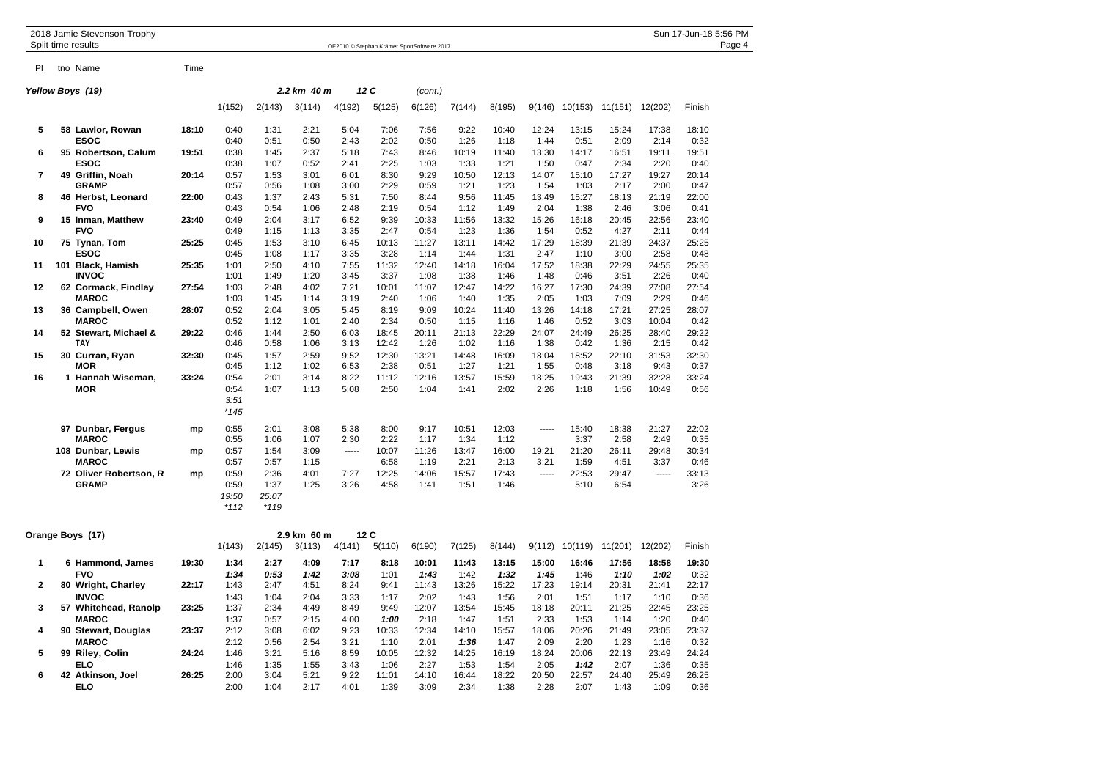|                | 2018 Jamie Stevenson Trophy<br>Split time results   |       |                                 |                                 |                      |                      |                       | OE2010 © Stephan Krämer SportSoftware 2017 |                       |                       |                       |                       |                       |                       | Sun 17-Jun-18 5:56 PM<br>Page 4 |
|----------------|-----------------------------------------------------|-------|---------------------------------|---------------------------------|----------------------|----------------------|-----------------------|--------------------------------------------|-----------------------|-----------------------|-----------------------|-----------------------|-----------------------|-----------------------|---------------------------------|
| PI.            | tno Name                                            | Time  |                                 |                                 |                      |                      |                       |                                            |                       |                       |                       |                       |                       |                       |                                 |
|                | Yellow Boys  (19)                                   |       |                                 |                                 | 2.2 km 40 m          |                      | 12C                   | (cont.)                                    |                       |                       |                       |                       |                       |                       |                                 |
|                |                                                     |       | 1(152)                          | 2(143)                          | 3(114)               | 4(192)               | 5(125)                | 6(126)                                     | 7(144)                | 8(195)                | 9(146)                | 10(153)               | 11(151)               | 12(202)               | Finish                          |
| 5              | 58 Lawlor, Rowan<br><b>ESOC</b>                     | 18:10 | 0:40<br>0:40                    | 1:31<br>0:51                    | 2:21<br>0:50         | 5:04<br>2:43         | 7:06<br>2:02          | 7:56<br>0:50                               | 9:22<br>1:26          | 10:40<br>1:18         | 12:24<br>1:44         | 13:15<br>0:51         | 15:24<br>2:09         | 17:38<br>2:14         | 18:10<br>0:32                   |
| 6              | 95 Robertson, Calum<br><b>ESOC</b>                  | 19:51 | 0:38<br>0:38                    | 1:45<br>1:07                    | 2:37<br>0:52         | 5:18<br>2:41         | 7:43<br>2:25          | 8:46<br>1:03                               | 10:19<br>1:33         | 11:40<br>1:21         | 13:30<br>1:50         | 14:17<br>0:47         | 16:51<br>2:34         | 19:11<br>2:20         | 19:51<br>0:40                   |
| $\overline{7}$ | 49 Griffin, Noah                                    | 20:14 | 0:57                            | 1:53                            | 3:01                 | 6:01                 | 8:30                  | 9:29                                       | 10:50                 | 12:13                 | 14:07                 | 15:10                 | 17:27                 | 19:27                 | 20:14                           |
| 8              | <b>GRAMP</b><br>46 Herbst, Leonard                  | 22:00 | 0:57<br>0:43                    | 0:56<br>1:37                    | 1:08<br>2:43         | 3:00<br>5:31         | 2:29<br>7:50          | 0:59<br>8:44                               | 1:21<br>9:56          | 1:23<br>11:45         | 1:54<br>13:49         | 1:03<br>15:27         | 2:17<br>18:13         | 2:00<br>21:19         | 0:47<br>22:00                   |
| 9              | <b>FVO</b><br>15 Inman, Matthew                     | 23:40 | 0:43<br>0:49                    | 0:54<br>2:04                    | 1:06<br>3:17         | 2:48<br>6:52         | 2:19<br>9:39          | 0:54<br>10:33                              | 1:12<br>11:56         | 1:49<br>13:32         | 2:04<br>15:26         | 1:38<br>16:18         | 2:46<br>20:45         | 3:06<br>22:56         | 0:41<br>23:40                   |
| 10             | <b>FVO</b><br>75 Tynan, Tom                         | 25:25 | 0:49<br>0:45                    | 1:15<br>1:53                    | 1:13<br>3:10         | 3:35<br>6:45         | 2:47<br>10:13         | 0:54<br>11:27                              | 1:23<br>13:11         | 1:36<br>14:42         | 1:54<br>17:29         | 0:52<br>18:39         | 4:27<br>21:39         | 2:11<br>24:37         | 0:44<br>25:25                   |
| 11             | ESOC<br>101 Black, Hamish                           | 25:35 | 0:45<br>1:01                    | 1:08<br>2:50                    | 1:17<br>4:10         | 3:35<br>7:55         | 3:28<br>11:32         | 1:14<br>12:40                              | 1:44<br>14:18         | 1:31<br>16:04         | 2:47<br>17:52         | 1:10<br>18:38         | 3:00<br>22:29         | 2:58<br>24:55         | 0:48<br>25:35                   |
| 12             | <b>INVOC</b><br>62 Cormack, Findlay<br><b>MAROC</b> | 27:54 | 1:01<br>1:03<br>1:03            | 1:49<br>2:48<br>1:45            | 1:20<br>4:02<br>1:14 | 3:45<br>7:21<br>3:19 | 3:37<br>10:01<br>2:40 | 1:08<br>11:07<br>1:06                      | 1:38<br>12:47<br>1:40 | 1:46<br>14:22<br>1:35 | 1:48<br>16:27<br>2:05 | 0:46<br>17:30<br>1:03 | 3:51<br>24:39<br>7:09 | 2:26<br>27:08<br>2:29 | 0:40<br>27:54<br>0:46           |
| 13             | 36 Campbell, Owen<br><b>MAROC</b>                   | 28:07 | 0:52<br>0:52                    | 2:04<br>1:12                    | 3:05<br>1:01         | 5:45<br>2:40         | 8:19<br>2:34          | 9:09<br>0:50                               | 10:24<br>1:15         | 11:40<br>1:16         | 13:26<br>1:46         | 14:18<br>0:52         | 17:21<br>3:03         | 27:25<br>10:04        | 28:07<br>0:42                   |
| 14             | 52 Stewart, Michael &<br>TAY                        | 29:22 | 0:46<br>0:46                    | 1:44<br>0:58                    | 2:50<br>1:06         | 6:03<br>3:13         | 18:45<br>12:42        | 20:11<br>1:26                              | 21:13<br>1:02         | 22:29<br>1:16         | 24:07<br>1:38         | 24:49<br>0:42         | 26:25<br>1:36         | 28:40<br>2:15         | 29:22<br>0:42                   |
| 15             | 30 Curran, Ryan<br><b>MOR</b>                       | 32:30 | 0:45<br>0:45                    | 1:57<br>1:12                    | 2:59<br>1:02         | 9:52<br>6:53         | 12:30<br>2:38         | 13:21<br>0:51                              | 14:48<br>1:27         | 16:09<br>1:21         | 18:04<br>1:55         | 18:52<br>0:48         | 22:10<br>3:18         | 31:53<br>9:43         | 32:30<br>0:37                   |
| 16             | 1 Hannah Wiseman,<br><b>MOR</b>                     | 33:24 | 0:54<br>0:54<br>3:51<br>$*145$  | 2:01<br>1:07                    | 3:14<br>1:13         | 8:22<br>5:08         | 11:12<br>2:50         | 12:16<br>1:04                              | 13:57<br>1:41         | 15:59<br>2:02         | 18:25<br>2:26         | 19:43<br>1:18         | 21:39<br>1:56         | 32:28<br>10:49        | 33:24<br>0:56                   |
|                | 97 Dunbar, Fergus<br><b>MAROC</b>                   | mp    | 0:55<br>0:55                    | 2:01<br>1:06                    | 3:08<br>1:07         | 5:38<br>2:30         | 8:00<br>2:22          | 9:17<br>1:17                               | 10:51<br>1:34         | 12:03<br>1:12         | 1.1.1.1               | 15:40<br>3:37         | 18:38<br>2:58         | 21:27<br>2:49         | 22:02<br>0:35                   |
|                | 108 Dunbar, Lewis<br><b>MAROC</b>                   | mp    | 0:57<br>0:57                    | 1:54<br>0:57                    | 3:09<br>1:15         | 1.1.1.1              | 10:07<br>6:58         | 11:26<br>1:19                              | 13:47<br>2:21         | 16:00<br>2:13         | 19:21<br>3:21         | 21:20<br>1:59         | 26:11<br>4:51         | 29:48<br>3:37         | 30:34<br>0:46                   |
|                | 72 Oliver Robertson, R<br><b>GRAMP</b>              | mp    | 0:59<br>0:59<br>19:50<br>$*112$ | 2:36<br>1:37<br>25:07<br>$*119$ | 4:01<br>1:25         | 7:27<br>3:26         | 12:25<br>4:58         | 14:06<br>1:41                              | 15:57<br>1:51         | 17:43<br>1:46         | 1.1.1.1               | 22:53<br>5:10         | 29:47<br>6:54         | 1.1.1.1               | 33:13<br>3:26                   |
|                | Orange Boys (17)                                    |       |                                 |                                 | 2.9 km 60 m          |                      | 12C                   |                                            |                       |                       |                       |                       |                       |                       |                                 |
|                |                                                     |       | 1(143)                          | 2(145)                          | 3(113)               | 4(141)               | 5(110)                | 6(190)                                     | 7(125)                | 8(144)                | 9(112)                | 10(119)               | 11(201)               | 12(202)               | Finish                          |
| 1              | 6 Hammond, James<br><b>FVO</b>                      | 19:30 | 1:34<br>1:34                    | 2:27<br>0:53                    | 4:09<br>1:42         | 7:17<br>3:08         | 8:18<br>1:01          | 10:01<br>1:43                              | 11:43<br>1:42         | 13:15<br>1:32         | 15:00<br>1:45         | 16:46<br>1:46         | 17:56<br>1:10         | 18:58<br>1:02         | 19:30<br>0:32                   |
| $\mathbf{2}$   | 80 Wright, Charley<br><b>INVOC</b>                  | 22:17 | 1:43<br>1:43                    | 2:47<br>1:04                    | 4:51<br>2:04         | 8:24<br>3:33         | 9:41<br>1:17          | 11:43<br>2:02                              | 13:26<br>1:43         | 15:22<br>1:56         | 17:23<br>2:01         | 19:14<br>1:51         | 20:31<br>1:17         | 21:41<br>1:10         | 22:17<br>0:36                   |
| 3              | 57 Whitehead, Ranolp<br><b>MAROC</b>                | 23:25 | 1:37<br>1:37                    | 2:34<br>0:57                    | 4:49<br>2:15         | 8:49<br>4:00         | 9:49<br>1:00          | 12:07<br>2:18                              | 13:54<br>1:47         | 15:45<br>1:51         | 18:18<br>2:33         | 20:11<br>1:53         | 21:25<br>1:14         | 22:45<br>1:20         | 23:25<br>0:40                   |
| 4              | 90 Stewart, Douglas<br><b>MAROC</b>                 | 23:37 | 2:12<br>2:12                    | 3:08<br>0:56                    | 6:02<br>2:54         | 9:23<br>3:21         | 10:33<br>1:10         | 12:34<br>2:01                              | 14:10<br>1:36         | 15:57<br>1:47         | 18:06<br>2:09         | 20:26<br>2:20         | 21:49<br>1:23         | 23:05<br>1:16         | 23:37<br>0:32                   |
| 5              | 99 Riley, Colin<br><b>ELO</b>                       | 24:24 | 1:46<br>1:46                    | 3:21<br>1:35                    | 5:16<br>1:55         | 8:59<br>3:43         | 10:05<br>1:06         | 12:32<br>2:27                              | 14:25<br>1:53         | 16:19<br>1:54         | 18:24<br>2:05         | 20:06<br>1:42         | 22:13<br>2:07         | 23:49<br>1:36         | 24:24<br>0:35                   |
| 6              | 42 Atkinson, Joel<br><b>ELO</b>                     | 26:25 | 2:00<br>2:00                    | 3:04<br>1:04                    | 5:21<br>2:17         | 9:22<br>4:01         | 11:01<br>1:39         | 14:10<br>3:09                              | 16:44<br>2:34         | 18:22<br>1:38         | 20:50<br>2:28         | 22:57<br>2:07         | 24:40<br>1:43         | 25:49<br>1:09         | 26:25<br>0:36                   |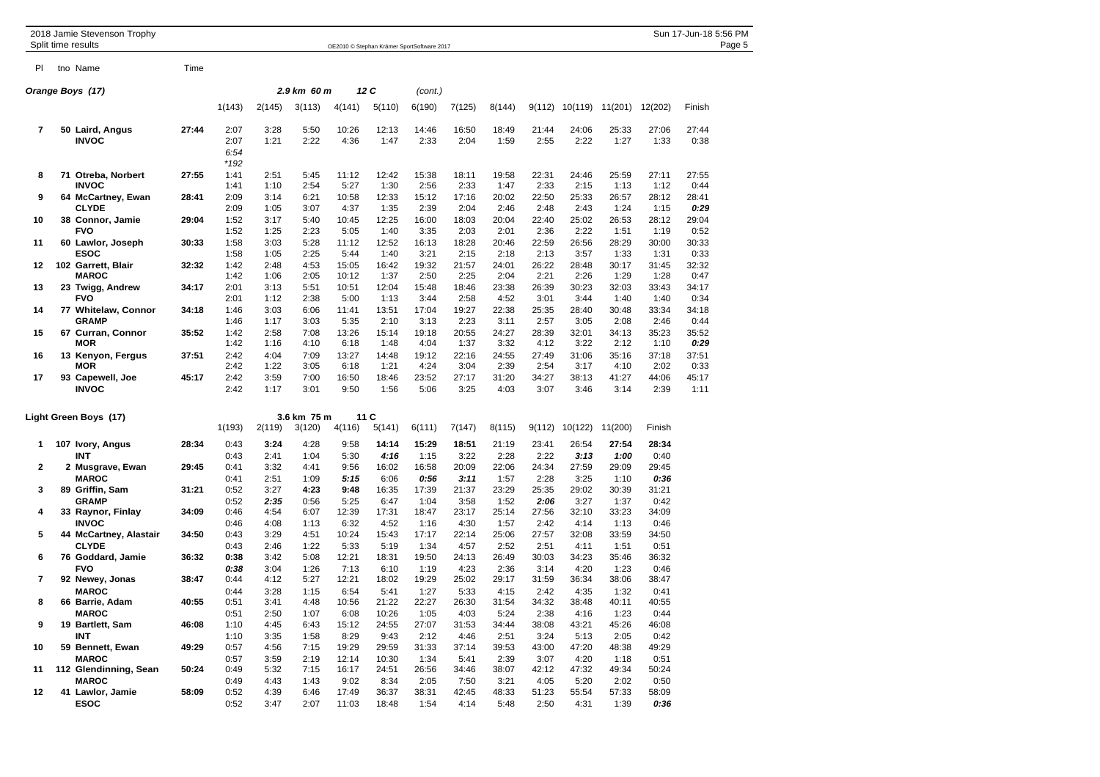|                | 2018 Jamie Stevenson Trophy<br>Split time results  |       |                                |                      |                      |                       |                       |                                            |                       |                       |                       |                       |                       |                       | Sun 17-Jun-18 5:56 PM<br>Page 5 |
|----------------|----------------------------------------------------|-------|--------------------------------|----------------------|----------------------|-----------------------|-----------------------|--------------------------------------------|-----------------------|-----------------------|-----------------------|-----------------------|-----------------------|-----------------------|---------------------------------|
|                |                                                    |       |                                |                      |                      |                       |                       | OE2010 © Stephan Krämer SportSoftware 2017 |                       |                       |                       |                       |                       |                       |                                 |
| PI             | tno Name                                           | Time  |                                |                      |                      |                       |                       |                                            |                       |                       |                       |                       |                       |                       |                                 |
|                | Orange Boys (17)                                   |       |                                |                      | 2.9 km 60 m          |                       | 12C                   | (cont.)                                    |                       |                       |                       |                       |                       |                       |                                 |
|                |                                                    |       | 1(143)                         | 2(145)               | 3(113)               | 4(141)                | 5(110)                | 6(190)                                     | 7(125)                | 8(144)                | 9(112)                | 10(119)               | 11(201)               | 12(202)               | Finish                          |
| 7              | 50 Laird, Angus<br><b>INVOC</b>                    | 27:44 | 2:07<br>2:07<br>6:54<br>$*192$ | 3:28<br>1:21         | 5:50<br>2:22         | 10:26<br>4:36         | 12:13<br>1:47         | 14:46<br>2:33                              | 16:50<br>2:04         | 18:49<br>1:59         | 21:44<br>2:55         | 24:06<br>2:22         | 25:33<br>1:27         | 27:06<br>1:33         | 27:44<br>0:38                   |
| 8              | 71 Otreba, Norbert                                 | 27:55 | 1:41                           | 2:51                 | 5:45                 | 11:12                 | 12:42                 | 15:38                                      | 18:11                 | 19:58                 | 22:31                 | 24:46                 | 25:59                 | 27:11                 | 27:55                           |
| 9              | <b>INVOC</b><br>64 McCartney, Ewan<br><b>CLYDE</b> | 28:41 | 1:41<br>2:09<br>2:09           | 1:10<br>3:14<br>1:05 | 2:54<br>6:21<br>3:07 | 5:27<br>10:58<br>4:37 | 1:30<br>12:33<br>1:35 | 2:56<br>15:12<br>2:39                      | 2:33<br>17:16<br>2:04 | 1:47<br>20:02<br>2:46 | 2:33<br>22:50<br>2:48 | 2:15<br>25:33<br>2:43 | 1:13<br>26:57<br>1:24 | 1:12<br>28:12<br>1:15 | 0:44<br>28:41<br>0:29           |
| 10             | 38 Connor, Jamie<br><b>FVO</b>                     | 29:04 | 1:52<br>1:52                   | 3:17<br>1:25         | 5:40<br>2:23         | 10:45<br>5:05         | 12:25<br>1:40         | 16:00<br>3:35                              | 18:03<br>2:03         | 20:04<br>2:01         | 22:40<br>2:36         | 25:02<br>2:22         | 26:53<br>1:51         | 28:12<br>1:19         | 29:04<br>0:52                   |
| 11             | 60 Lawlor, Joseph<br><b>ESOC</b>                   | 30:33 | 1:58<br>1:58                   | 3:03<br>1:05         | 5:28<br>2:25         | 11:12<br>5:44         | 12:52<br>1:40         | 16:13<br>3:21                              | 18:28<br>2:15         | 20:46<br>2:18         | 22:59<br>2:13         | 26:56<br>3:57         | 28:29<br>1:33         | 30:00<br>1:31         | 30:33<br>0:33                   |
| $12 \,$        | 102 Garrett, Blair<br><b>MAROC</b>                 | 32:32 | 1:42<br>1:42                   | 2:48<br>1:06         | 4:53<br>2:05         | 15:05<br>10:12        | 16:42<br>1:37         | 19:32<br>2:50                              | 21:57<br>2:25         | 24:01<br>2:04         | 26:22<br>2:21         | 28:48<br>2:26         | 30:17<br>1:29         | 31:45<br>1:28         | 32:32<br>0:47                   |
| 13             | 23 Twigg, Andrew<br><b>FVO</b>                     | 34:17 | 2:01<br>2:01                   | 3:13<br>1:12         | 5:51<br>2:38         | 10:51<br>5:00         | 12:04<br>1:13         | 15:48<br>3:44                              | 18:46<br>2:58         | 23:38<br>4:52         | 26:39<br>3:01         | 30:23<br>3:44         | 32:03<br>1:40         | 33:43<br>1:40         | 34:17<br>0:34                   |
| 14             | 77 Whitelaw, Connor<br><b>GRAMP</b>                | 34:18 | 1:46<br>1:46                   | 3:03<br>1:17         | 6:06<br>3:03         | 11:41<br>5:35         | 13:51<br>2:10         | 17:04<br>3:13                              | 19:27<br>2:23         | 22:38<br>3:11         | 25:35<br>2:57         | 28:40<br>3:05         | 30:48<br>2:08         | 33:34<br>2:46         | 34:18<br>0:44                   |
| 15             | 67 Curran, Connor<br><b>MOR</b>                    | 35:52 | 1:42<br>1:42                   | 2:58<br>1:16         | 7:08<br>4:10         | 13:26<br>6:18         | 15:14<br>1:48         | 19:18<br>4:04                              | 20:55<br>1:37         | 24:27<br>3:32         | 28:39<br>4:12         | 32:01<br>3:22         | 34:13<br>2:12         | 35:23<br>1:10         | 35:52<br>0:29                   |
| 16             | 13 Kenyon, Fergus<br><b>MOR</b>                    | 37:51 | 2:42<br>2:42                   | 4:04<br>1:22         | 7:09<br>3:05         | 13:27<br>6:18         | 14:48<br>1:21         | 19:12<br>4:24                              | 22:16<br>3:04         | 24:55<br>2:39         | 27:49<br>2:54         | 31:06<br>3:17         | 35:16<br>4:10         | 37:18<br>2:02         | 37:51<br>0:33                   |
| 17             | 93 Capewell, Joe<br><b>INVOC</b>                   | 45:17 | 2:42<br>2:42                   | 3:59<br>1:17         | 7:00<br>3:01         | 16:50<br>9:50         | 18:46<br>1:56         | 23:52<br>5:06                              | 27:17<br>3:25         | 31:20<br>4:03         | 34:27<br>3:07         | 38:13<br>3:46         | 41:27<br>3:14         | 44:06<br>2:39         | 45:17<br>1:11                   |
|                | Light Green Boys (17)                              |       |                                |                      | 3.6 km 75 m          |                       | 11C                   |                                            |                       |                       |                       |                       |                       |                       |                                 |
|                |                                                    |       | 1(193)                         | 2(119)               | 3(120)               | 4(116)                | 5(141)                | 6(111)                                     | 7(147)                | 8(115)                | 9(112)                | 10(122)               | 11(200)               | Finish                |                                 |
| 1              | 107 Ivory, Angus<br><b>INT</b>                     | 28:34 | 0:43<br>0:43                   | 3:24<br>2:41         | 4:28<br>1:04         | 9:58<br>5:30          | 14:14<br>4:16         | 15:29<br>1:15                              | 18:51<br>3:22         | 21:19<br>2:28         | 23:41<br>2:22         | 26:54<br>3:13         | 27:54<br>1:00         | 28:34<br>0:40         |                                 |
| 2              | 2 Musgrave, Ewan<br><b>MAROC</b>                   | 29:45 | 0:41<br>0:41                   | 3:32<br>2:51         | 4:41<br>1:09         | 9:56<br>5:15          | 16:02<br>6:06         | 16:58<br>0:56                              | 20:09<br>3:11         | 22:06<br>1:57         | 24:34<br>2:28         | 27:59<br>3:25         | 29:09<br>1:10         | 29:45<br>0:36         |                                 |
| 3              | 89 Griffin, Sam<br><b>GRAMP</b>                    | 31:21 | 0:52<br>0:52                   | 3:27<br>2:35         | 4:23<br>0:56         | 9:48<br>5:25          | 16:35<br>6:47         | 17:39<br>1:04                              | 21:37<br>3:58         | 23:29<br>1:52         | 25:35<br>2:06         | 29:02<br>3:27         | 30:39<br>1:37         | 31:21<br>0:42         |                                 |
| 4              | 33 Raynor, Finlay<br><b>INVOC</b>                  | 34:09 | 0:46<br>0:46                   | 4:54<br>4:08         | 6:07<br>1:13         | 12:39<br>6:32         | 17:31<br>4:52         | 18:47<br>1:16                              | 23:17<br>4:30         | 25:14<br>1:57         | 27:56<br>2:42         | 32:10<br>4:14         | 33:23<br>1:13         | 34:09<br>0:46         |                                 |
| 5              | 44 McCartney, Alastair<br><b>CLYDE</b>             | 34:50 | 0:43<br>0:43                   | 3:29<br>2:46         | 4:51<br>1:22         | 10:24<br>5:33         | 15:43<br>5:19         | 17:17<br>1:34                              | 22:14<br>4:57         | 25:06<br>2:52         | 27:57<br>2:51         | 32:08<br>4:11         | 33:59<br>1:51         | 34:50<br>0:51         |                                 |
| 6              | 76 Goddard, Jamie<br><b>FVO</b>                    | 36:32 | 0:38<br>0:38                   | 3:42<br>3:04         | 5:08<br>1:26         | 12:21<br>7:13         | 18:31<br>6:10         | 19:50<br>1:19                              | 24:13<br>4:23         | 26:49<br>2:36         | 30:03<br>3:14         | 34:23<br>4:20         | 35:46<br>1:23         | 36:32<br>0:46         |                                 |
| $\overline{7}$ | 92 Newey, Jonas<br><b>MAROC</b>                    | 38:47 | 0:44<br>0:44                   | 4:12<br>3:28         | 5:27<br>1:15         | 12:21<br>6:54         | 18:02<br>5:41         | 19:29<br>1:27                              | 25:02<br>5:33         | 29:17<br>4:15         | 31:59<br>2:42         | 36:34<br>4:35         | 38:06<br>1:32         | 38:47<br>0:41         |                                 |
| 8              | 66 Barrie, Adam<br><b>MAROC</b>                    | 40:55 | 0:51<br>0:51                   | 3:41<br>2:50         | 4:48<br>1:07         | 10:56<br>6:08         | 21:22<br>10:26        | 22:27<br>1:05                              | 26:30<br>4:03         | 31:54<br>5:24         | 34:32<br>2:38         | 38:48<br>4:16         | 40:11<br>1:23         | 40:55<br>0:44         |                                 |
| 9              | 19 Bartlett, Sam<br>INT                            | 46:08 | 1:10<br>1:10                   | 4:45<br>3:35         | 6:43<br>1:58         | 15:12<br>8:29         | 24:55<br>9:43         | 27:07<br>2:12                              | 31:53<br>4:46         | 34:44<br>2:51         | 38:08<br>3:24         | 43:21<br>5:13         | 45:26<br>2:05         | 46:08<br>0:42         |                                 |
| 10             | 59 Bennett, Ewan<br><b>MAROC</b>                   | 49:29 | 0:57<br>0:57                   | 4:56<br>3:59         | 7:15<br>2:19         | 19:29<br>12:14        | 29:59<br>10:30        | 31:33<br>1:34                              | 37:14<br>5:41         | 39:53<br>2:39         | 43:00<br>3:07         | 47:20<br>4:20         | 48:38<br>1:18         | 49:29<br>0:51         |                                 |
| 11             | 112 Glendinning, Sean<br><b>MAROC</b>              | 50:24 | 0:49<br>0:49                   | 5:32<br>4:43         | 7:15<br>1:43         | 16:17<br>9:02         | 24:51<br>8:34         | 26:56<br>2:05                              | 34:46<br>7:50         | 38:07<br>3:21         | 42:12<br>4:05         | 47:32<br>5:20         | 49:34<br>2:02         | 50:24<br>0:50         |                                 |
| 12             | 41 Lawlor, Jamie<br><b>ESOC</b>                    | 58:09 | 0:52<br>0:52                   | 4:39<br>3:47         | 6:46<br>2:07         | 17:49<br>11:03        | 36:37<br>18:48        | 38:31<br>1:54                              | 42:45<br>4:14         | 48:33<br>5:48         | 51:23<br>2:50         | 55:54<br>4:31         | 57:33<br>1:39         | 58:09<br>0:36         |                                 |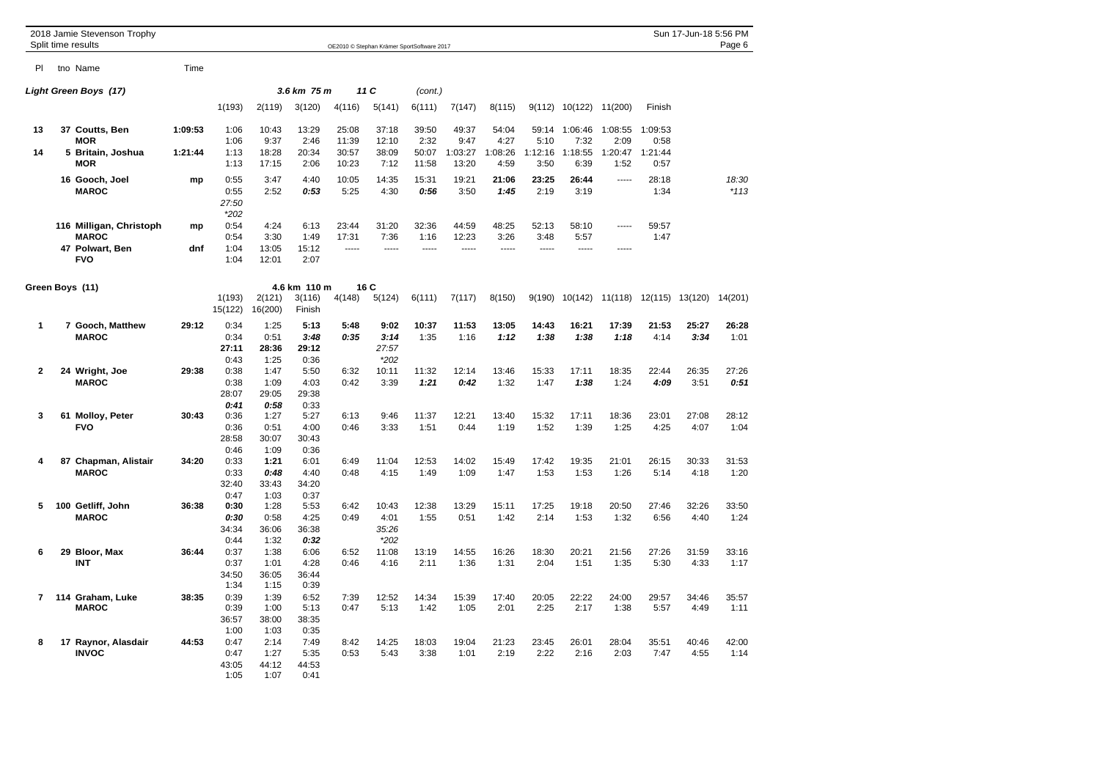|              |    | 2018 Jamie Stevenson Trophy<br>Split time results |         |                                       |                                       |                                       |                | OE2010 © Stephan Krämer SportSoftware 2017 |                |                  |                 |                 |                 |                 |                 | Sun 17-Jun-18 5:56 PM | Page 6          |
|--------------|----|---------------------------------------------------|---------|---------------------------------------|---------------------------------------|---------------------------------------|----------------|--------------------------------------------|----------------|------------------|-----------------|-----------------|-----------------|-----------------|-----------------|-----------------------|-----------------|
| PI           |    | tno Name                                          | Time    |                                       |                                       |                                       |                |                                            |                |                  |                 |                 |                 |                 |                 |                       |                 |
|              |    | Light Green Boys (17)                             |         |                                       |                                       | 3.6 km 75 m                           |                | 11C                                        | (cont.)        |                  |                 |                 |                 |                 |                 |                       |                 |
|              |    |                                                   |         | 1(193)                                | 2(119)                                | 3(120)                                | 4(116)         | 5(141)                                     | 6(111)         | 7(147)           | 8(115)          | 9(112)          | 10(122)         | 11(200)         | Finish          |                       |                 |
| 13           |    | 37 Coutts, Ben<br><b>MOR</b>                      | 1:09:53 | 1:06<br>1:06                          | 10:43<br>9:37                         | 13:29<br>2:46                         | 25:08<br>11:39 | 37:18<br>12:10                             | 39:50<br>2:32  | 49:37<br>9:47    | 54:04<br>4:27   | 59:14<br>5:10   | 1:06:46<br>7:32 | 1:08:55<br>2:09 | 1:09:53<br>0:58 |                       |                 |
| 14           |    | 5 Britain, Joshua<br><b>MOR</b>                   | 1:21:44 | 1:13<br>1:13                          | 18:28<br>17:15                        | 20:34<br>2:06                         | 30:57<br>10:23 | 38:09<br>7:12                              | 50:07<br>11:58 | 1:03:27<br>13:20 | 1:08:26<br>4:59 | 1:12:16<br>3:50 | 1:18:55<br>6:39 | 1:20:47<br>1:52 | 1:21:44<br>0:57 |                       |                 |
|              |    | 16 Gooch, Joel<br><b>MAROC</b>                    | mp      | 0:55<br>0:55<br>27:50<br>$*202$       | 3:47<br>2:52                          | 4:40<br>0:53                          | 10:05<br>5:25  | 14:35<br>4:30                              | 15:31<br>0:56  | 19:21<br>3:50    | 21:06<br>1:45   | 23:25<br>2:19   | 26:44<br>3:19   | -----           | 28:18<br>1:34   |                       | 18:30<br>$*113$ |
|              |    | 116 Milligan, Christoph<br><b>MAROC</b>           | mp      | 0:54<br>0:54                          | 4:24<br>3:30                          | 6:13<br>1:49                          | 23:44<br>17:31 | 31:20<br>7:36                              | 32:36<br>1:16  | 44:59<br>12:23   | 48:25<br>3:26   | 52:13<br>3:48   | 58:10<br>5:57   |                 | 59:57<br>1:47   |                       |                 |
|              |    | 47 Polwart, Ben<br><b>FVO</b>                     | dnf     | 1:04<br>1:04                          | 13:05<br>12:01                        | 15:12<br>2:07                         | -----          | -----                                      | -----          | -----            | -----           | -----           | -----           | -----           |                 |                       |                 |
|              |    | Green Boys (11)                                   |         | 1(193)<br>15(122)                     | 2(121)<br>16(200)                     | 4.6 km 110 m<br>3(116)<br>Finish      | 4(148)         | 16 C<br>5(124)                             | 6(111)         | 7(117)           | 8(150)          | 9(190)          | 10(142)         | 11(118)         | 12(115)         | 13(120)               | 14(201)         |
| 1            |    | 7 Gooch, Matthew<br><b>MAROC</b>                  | 29:12   | 0:34<br>0:34<br>27:11                 | 1:25<br>0:51<br>28:36                 | 5:13<br>3:48<br>29:12                 | 5:48<br>0:35   | 9:02<br>3:14<br>27:57                      | 10:37<br>1:35  | 11:53<br>1:16    | 13:05<br>1:12   | 14:43<br>1:38   | 16:21<br>1:38   | 17:39<br>1:18   | 21:53<br>4:14   | 25:27<br>3:34         | 26:28<br>1:01   |
| $\mathbf{2}$ |    | 24 Wright, Joe<br><b>MAROC</b>                    | 29:38   | 0:43<br>0:38<br>0:38<br>28:07<br>0:41 | 1:25<br>1:47<br>1:09<br>29:05<br>0:58 | 0:36<br>5:50<br>4:03<br>29:38<br>0:33 | 6:32<br>0:42   | $*202$<br>10:11<br>3:39                    | 11:32<br>1:21  | 12:14<br>0:42    | 13:46<br>1:32   | 15:33<br>1:47   | 17:11<br>1:38   | 18:35<br>1:24   | 22:44<br>4:09   | 26:35<br>3:51         | 27:26<br>0:51   |
| 3            |    | 61 Molloy, Peter<br><b>FVO</b>                    | 30:43   | 0:36<br>0:36<br>28:58<br>0:46         | 1:27<br>0:51<br>30:07<br>1:09         | 5:27<br>4:00<br>30:43<br>0:36         | 6:13<br>0:46   | 9:46<br>3:33                               | 11:37<br>1:51  | 12:21<br>0:44    | 13:40<br>1:19   | 15:32<br>1:52   | 17:11<br>1:39   | 18:36<br>1:25   | 23:01<br>4:25   | 27:08<br>4:07         | 28:12<br>1:04   |
| 4            |    | 87 Chapman, Alistair<br><b>MAROC</b>              | 34:20   | 0:33<br>0:33<br>32:40                 | 1:21<br>0:48<br>33:43                 | 6:01<br>4:40<br>34:20                 | 6:49<br>0:48   | 11:04<br>4:15                              | 12:53<br>1:49  | 14:02<br>1:09    | 15:49<br>1:47   | 17:42<br>1:53   | 19:35<br>1:53   | 21:01<br>1:26   | 26:15<br>5:14   | 30:33<br>4:18         | 31:53<br>1:20   |
| 5            |    | 100 Getliff, John<br><b>MAROC</b>                 | 36:38   | 0:47<br>0:30<br>0:30<br>34:34<br>0:44 | 1:03<br>1:28<br>0:58<br>36:06<br>1:32 | 0:37<br>5:53<br>4:25<br>36:38<br>0:32 | 6:42<br>0:49   | 10:43<br>4:01<br>35:26<br>$*202$           | 12:38<br>1:55  | 13:29<br>0:51    | 15:11<br>1:42   | 17:25<br>2:14   | 19:18<br>1:53   | 20:50<br>1:32   | 27:46<br>6:56   | 32:26<br>4:40         | 33:50<br>1:24   |
| 6            | 29 | Bloor, Max<br><b>INT</b>                          | 36:44   | 0:37<br>0:37<br>34:50<br>1:34         | 1:38<br>1:01<br>36:05<br>1:15         | 6:06<br>4:28<br>36:44<br>0:39         | 6:52<br>0:46   | 11:08<br>4:16                              | 13:19<br>2:11  | 14:55<br>1:36    | 16:26<br>1:31   | 18:30<br>2:04   | 20:21<br>1:51   | 21:56<br>1:35   | 27:26<br>5:30   | 31:59<br>4:33         | 33:16<br>1:17   |
| 7            |    | 114 Graham, Luke<br><b>MAROC</b>                  | 38:35   | 0:39<br>0:39<br>36:57<br>1:00         | 1:39<br>1:00<br>38:00<br>1:03         | 6:52<br>5:13<br>38:35<br>0:35         | 7:39<br>0:47   | 12:52<br>5:13                              | 14:34<br>1:42  | 15:39<br>1:05    | 17:40<br>2:01   | 20:05<br>2:25   | 22:22<br>2:17   | 24:00<br>1:38   | 29:57<br>5:57   | 34:46<br>4:49         | 35:57<br>1:11   |
| 8            |    | 17 Raynor, Alasdair<br><b>INVOC</b>               | 44:53   | 0:47<br>0:47<br>43:05<br>1:05         | 2:14<br>1:27<br>44:12<br>1:07         | 7:49<br>5:35<br>44:53<br>0:41         | 8:42<br>0:53   | 14:25<br>5:43                              | 18:03<br>3:38  | 19:04<br>1:01    | 21:23<br>2:19   | 23:45<br>2:22   | 26:01<br>2:16   | 28:04<br>2:03   | 35:51<br>7:47   | 40:46<br>4:55         | 42:00<br>1:14   |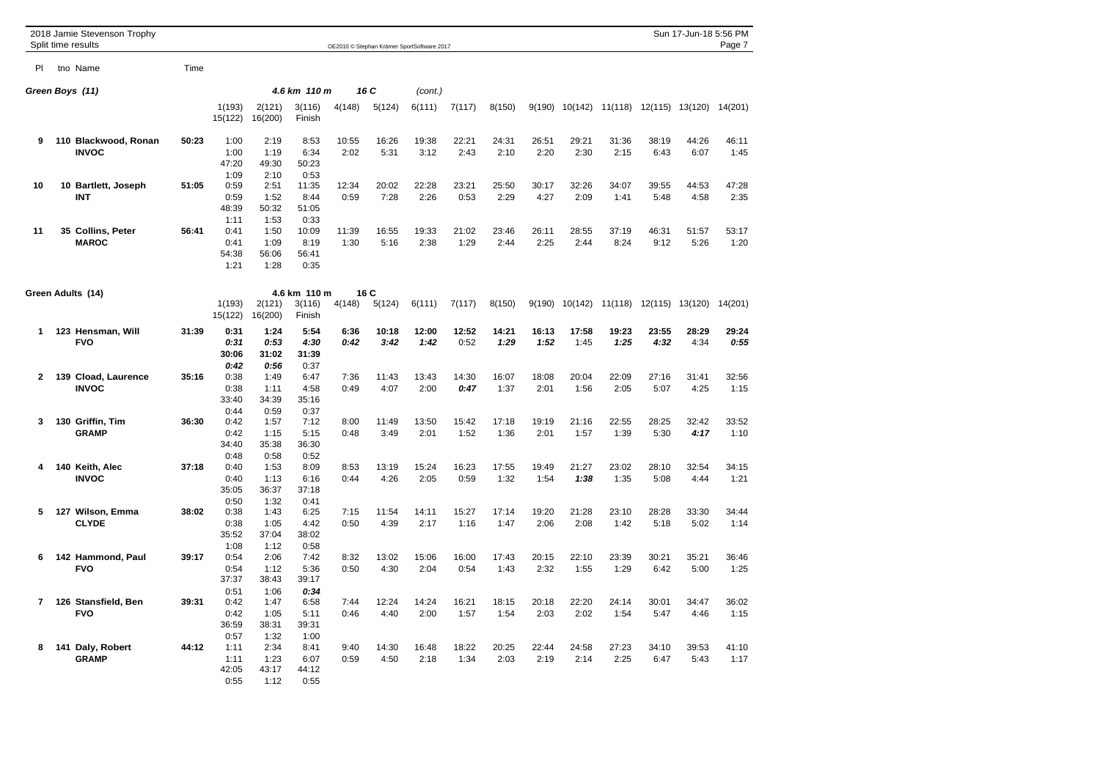|              | 2018 Jamie Stevenson Trophy          |       |                                       |                                       |                                       |               |                |                                            |               |               |               |               |                                 |                         | Sun 17-Jun-18 5:56 PM |               |
|--------------|--------------------------------------|-------|---------------------------------------|---------------------------------------|---------------------------------------|---------------|----------------|--------------------------------------------|---------------|---------------|---------------|---------------|---------------------------------|-------------------------|-----------------------|---------------|
|              | Split time results                   |       |                                       |                                       |                                       |               |                | OE2010 © Stephan Krämer SportSoftware 2017 |               |               |               |               |                                 |                         |                       | Page 7        |
| PI           | tno Name                             | Time  |                                       |                                       |                                       |               |                |                                            |               |               |               |               |                                 |                         |                       |               |
|              | Green Boys (11)                      |       |                                       |                                       | 4.6 km 110 m                          |               | 16 C           | (cont.)                                    |               |               |               |               |                                 |                         |                       |               |
|              |                                      |       | 1(193)<br>15(122)                     | 2(121)<br>16(200)                     | 3(116)<br>Finish                      | 4(148)        | 5(124)         | 6(111)                                     | 7(117)        | 8(150)        | 9(190)        | 10(142)       |                                 | 11(118) 12(115) 13(120) |                       | 14(201)       |
| 9            | 110 Blackwood, Ronan<br><b>INVOC</b> | 50:23 | 1:00<br>1:00<br>47:20<br>1:09         | 2:19<br>1:19<br>49:30<br>2:10         | 8:53<br>6:34<br>50:23<br>0:53         | 10:55<br>2:02 | 16:26<br>5:31  | 19:38<br>3:12                              | 22:21<br>2:43 | 24:31<br>2:10 | 26:51<br>2:20 | 29:21<br>2:30 | 31:36<br>2:15                   | 38:19<br>6:43           | 44:26<br>6:07         | 46:11<br>1:45 |
| 10           | 10 Bartlett, Joseph<br><b>INT</b>    | 51:05 | 0:59<br>0:59<br>48:39<br>1:11         | 2:51<br>1:52<br>50:32<br>1:53         | 11:35<br>8:44<br>51:05<br>0:33        | 12:34<br>0:59 | 20:02<br>7:28  | 22:28<br>2:26                              | 23:21<br>0:53 | 25:50<br>2:29 | 30:17<br>4:27 | 32:26<br>2:09 | 34:07<br>1:41                   | 39:55<br>5:48           | 44:53<br>4:58         | 47:28<br>2:35 |
| 11           | 35 Collins, Peter<br><b>MAROC</b>    | 56:41 | 0:41<br>0:41<br>54:38<br>1:21         | 1:50<br>1:09<br>56:06<br>1:28         | 10:09<br>8:19<br>56:41<br>0:35        | 11:39<br>1:30 | 16:55<br>5:16  | 19:33<br>2:38                              | 21:02<br>1:29 | 23:46<br>2:44 | 26:11<br>2:25 | 28:55<br>2:44 | 37:19<br>8:24                   | 46:31<br>9:12           | 51:57<br>5:26         | 53:17<br>1:20 |
|              | Green Adults (14)                    |       | 1(193)<br>15(122)                     | 2(121)<br>16(200)                     | 4.6 km 110 m<br>3(116)<br>Finish      | 4(148)        | 16 C<br>5(124) | 6(111)                                     | 7(117)        | 8(150)        | 9(190)        |               | 10(142) 11(118) 12(115) 13(120) |                         |                       | 14(201)       |
| 1            | 123 Hensman, Will<br><b>FVO</b>      | 31:39 | 0:31<br>0:31<br>30:06<br>0:42         | 1:24<br>0:53<br>31:02<br>0:56         | 5:54<br>4:30<br>31:39<br>0:37         | 6:36<br>0:42  | 10:18<br>3:42  | 12:00<br>1:42                              | 12:52<br>0:52 | 14:21<br>1:29 | 16:13<br>1:52 | 17:58<br>1:45 | 19:23<br>1:25                   | 23:55<br>4:32           | 28:29<br>4:34         | 29:24<br>0:55 |
| $\mathbf{2}$ | 139 Cload, Laurence<br><b>INVOC</b>  | 35:16 | 0:38<br>0:38<br>33:40<br>0:44         | 1:49<br>1:11<br>34:39<br>0:59         | 6:47<br>4:58<br>35:16<br>0:37         | 7:36<br>0:49  | 11:43<br>4:07  | 13:43<br>2:00                              | 14:30<br>0:47 | 16:07<br>1:37 | 18:08<br>2:01 | 20:04<br>1:56 | 22:09<br>2:05                   | 27:16<br>5:07           | 31:41<br>4:25         | 32:56<br>1:15 |
| 3            | 130 Griffin, Tim<br><b>GRAMP</b>     | 36:30 | 0:42<br>0:42<br>34:40<br>0:48         | 1:57<br>1:15<br>35:38<br>0:58         | 7:12<br>5:15<br>36:30<br>0:52         | 8:00<br>0:48  | 11:49<br>3:49  | 13:50<br>2:01                              | 15:42<br>1:52 | 17:18<br>1:36 | 19:19<br>2:01 | 21:16<br>1:57 | 22:55<br>1:39                   | 28:25<br>5:30           | 32:42<br>4:17         | 33:52<br>1:10 |
| 4            | 140 Keith, Alec<br><b>INVOC</b>      | 37:18 | 0:40<br>0:40<br>35:05<br>0:50         | 1:53<br>1:13<br>36:37<br>1:32         | 8:09<br>6:16<br>37:18<br>0:41         | 8:53<br>0:44  | 13:19<br>4:26  | 15:24<br>2:05                              | 16:23<br>0:59 | 17:55<br>1:32 | 19:49<br>1:54 | 21:27<br>1:38 | 23:02<br>1:35                   | 28:10<br>5:08           | 32:54<br>4:44         | 34:15<br>1:21 |
| 5            | 127 Wilson, Emma<br><b>CLYDE</b>     | 38:02 | 0:38<br>0:38<br>35:52                 | 1:43<br>1:05<br>37:04                 | 6:25<br>4:42<br>38:02                 | 7:15<br>0:50  | 11:54<br>4:39  | 14:11<br>2:17                              | 15:27<br>1:16 | 17:14<br>1:47 | 19:20<br>2:06 | 21:28<br>2:08 | 23:10<br>1:42                   | 28:28<br>5:18           | 33:30<br>5:02         | 34:44<br>1:14 |
| 6            | 142 Hammond, Paul<br><b>FVO</b>      | 39:17 | 1:08<br>0:54<br>0:54<br>37:37<br>0:51 | 1:12<br>2:06<br>1:12<br>38:43<br>1:06 | 0:58<br>7:42<br>5:36<br>39:17<br>0:34 | 8:32<br>0:50  | 13:02<br>4:30  | 15:06<br>2:04                              | 16:00<br>0:54 | 17:43<br>1:43 | 20:15<br>2:32 | 22:10<br>1:55 | 23:39<br>1:29                   | 30:21<br>6:42           | 35:21<br>5:00         | 36:46<br>1:25 |
| 7            | 126 Stansfield, Ben<br><b>FVO</b>    | 39:31 | 0:42<br>0:42<br>36:59<br>0:57         | 1:47<br>1:05<br>38:31<br>1:32         | 6:58<br>5:11<br>39:31<br>1:00         | 7:44<br>0:46  | 12:24<br>4:40  | 14:24<br>2:00                              | 16:21<br>1:57 | 18:15<br>1:54 | 20:18<br>2:03 | 22:20<br>2:02 | 24:14<br>1:54                   | 30:01<br>5:47           | 34:47<br>4:46         | 36:02<br>1:15 |
| 8            | 141 Daly, Robert<br><b>GRAMP</b>     | 44:12 | 1:11<br>1:11<br>42:05<br>0:55         | 2:34<br>1:23<br>43:17<br>1:12         | 8:41<br>6:07<br>44:12<br>0:55         | 9:40<br>0:59  | 14:30<br>4:50  | 16:48<br>2:18                              | 18:22<br>1:34 | 20:25<br>2:03 | 22:44<br>2:19 | 24:58<br>2:14 | 27:23<br>2:25                   | 34:10<br>6:47           | 39:53<br>5:43         | 41:10<br>1:17 |